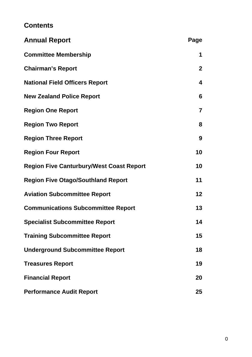# **Contents**

| <b>Annual Report</b>                            | Page         |
|-------------------------------------------------|--------------|
| <b>Committee Membership</b>                     | 1            |
| <b>Chairman's Report</b>                        | $\mathbf{2}$ |
| <b>National Field Officers Report</b>           | 4            |
| <b>New Zealand Police Report</b>                | 6            |
| <b>Region One Report</b>                        | 7            |
| <b>Region Two Report</b>                        | 8            |
| <b>Region Three Report</b>                      | 9            |
| <b>Region Four Report</b>                       | 10           |
| <b>Region Five Canturbury/West Coast Report</b> | 10           |
| <b>Region Five Otago/Southland Report</b>       | 11           |
| <b>Aviation Subcommittee Report</b>             | 12           |
| <b>Communications Subcommittee Report</b>       | 13           |
| <b>Specialist Subcommittee Report</b>           | 14           |
| <b>Training Subcommittee Report</b>             | 15           |
| <b>Underground Subcommittee Report</b>          | 18           |
| <b>Treasures Report</b>                         | 19           |
| <b>Financial Report</b>                         | 20           |
| <b>Performance Audit Report</b>                 | 25           |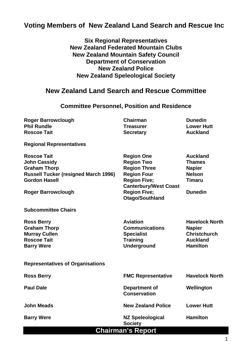## **Voting Members of New Zealand Land Search and Rescue Inc**

**Six Regional Representatives New Zealand Federated Mountain Clubs New Zealand Mountain Safety Council Department of Conservation New Zealand Police New Zealand Speleological Society** 

## **New Zealand Land Search and Rescue Committee**

### **Committee Personnel, Position and Residence**

| <b>Roger Barrowclough</b><br><b>Phil Rundle</b><br><b>Roscoe Tait</b>                                                                                                | <b>Chairman</b><br><b>Treasurer</b><br><b>Secretary</b>                                                                                                                              | <b>Dunedin</b><br><b>Lower Hutt</b><br><b>Auckland</b>                                                |  |  |
|----------------------------------------------------------------------------------------------------------------------------------------------------------------------|--------------------------------------------------------------------------------------------------------------------------------------------------------------------------------------|-------------------------------------------------------------------------------------------------------|--|--|
| <b>Regional Representatives</b>                                                                                                                                      |                                                                                                                                                                                      |                                                                                                       |  |  |
| <b>Roscoe Tait</b><br><b>John Cassidy</b><br><b>Graham Thorp</b><br><b>Russell Tucker (resigned March 1996)</b><br><b>Gordon Hasell</b><br><b>Roger Barrowclough</b> | <b>Region One</b><br><b>Region Two</b><br><b>Region Three</b><br><b>Region Four</b><br><b>Region Five;</b><br><b>Canterbury/West Coast</b><br><b>Region Five;</b><br>Otago/Southland | <b>Auckland</b><br><b>Thames</b><br><b>Napier</b><br><b>Nelson</b><br><b>Timaru</b><br><b>Dunedin</b> |  |  |
| <b>Subcommittee Chairs</b>                                                                                                                                           |                                                                                                                                                                                      |                                                                                                       |  |  |
| <b>Ross Berry</b><br><b>Graham Thorp</b><br><b>Murray Cullen</b><br><b>Roscoe Tait</b><br><b>Barry Were</b>                                                          | <b>Aviation</b><br><b>Communications</b><br><b>Specialist</b><br><b>Training</b><br><b>Underground</b>                                                                               | <b>Havelock North</b><br><b>Napier</b><br><b>Christchurch</b><br><b>Auckland</b><br><b>Hamilton</b>   |  |  |
| <b>Representatives of Organisations</b>                                                                                                                              |                                                                                                                                                                                      |                                                                                                       |  |  |
| <b>Ross Berry</b>                                                                                                                                                    | <b>FMC Representative</b>                                                                                                                                                            | <b>Havelock North</b>                                                                                 |  |  |
| <b>Paul Dale</b>                                                                                                                                                     | Department of<br><b>Conservation</b>                                                                                                                                                 | Wellington                                                                                            |  |  |
| <b>John Meads</b>                                                                                                                                                    | <b>New Zealand Police</b>                                                                                                                                                            | <b>Lower Hutt</b>                                                                                     |  |  |
| <b>Barry Were</b>                                                                                                                                                    | <b>NZ Speleological</b><br><b>Society</b>                                                                                                                                            | <b>Hamilton</b>                                                                                       |  |  |
| <b>Chairman's Report</b>                                                                                                                                             |                                                                                                                                                                                      |                                                                                                       |  |  |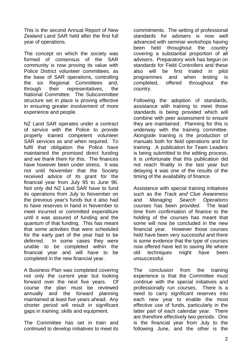This is the second Annual Report of New Zealand Land SAR held after the first full year of operations.

The concept on which the society was formed of consensus of the SAR community is now proving its value with Police District volunteer committees, as the base of SAR operations, controlling the six Regional Committees and, through their representatives, the National Committee. The Subcommittee structure set in place is proving effective in ensuring greater involvement of more experience and people.

NZ Land SAR operates under a contract of service with the Police to provide properly trained competent volunteer SAR services as and when required. To fulfil that obligation the Police have maintained the promised direct funding and we thank them for this. The finances have however been under stress. It was not until November that the Society received advice of its grant for the financial year from July 95 to June 96. Not only did NZ Land SAR have to fund its operations from July to November on the previous year's funds but it also had to have reserves in hand in November to meet incurred or committed expenditure until it was assured of funding and the quantum of that funding. This has meant that some activities that were scheduled for the early part of the year had to be deferred. In some cases they were unable to be completed within the financial year and will have to be completed in the new financial year.

A Business Plan was completed covering not only the current year but looking forward over the next five years. Of course the plan must be reviewed annually and the forward planning maintained at least five years ahead. Any shorter period will result in significant gaps in training, skills and equipment.

The Committee has set in train and continued to develop initiatives to meet its commitments. The setting of professional standards for advisers is now well advanced with seminar workshops having been held throughout the country covering a substantial proportion of all advisers. Preparatory work has begun on standards for Field Controllers and these also will be first trialed in pilot programmes and when testing is completed, offered throughout the country.

Following the adoption of standards, assistance with training to meet those standards is being provided which will combine with peer assessment to ensure they are maintained. Planning for this is underway with the training committee. Alongside training is the production of manuals both for field operations and for training. A publication for Team Leaders is being submitted to the editing process. It is unfortunate that this publication did not reach finality in the last year but delaying it was one of the results of the timing of the availability of finance.

Assistance with special training initiatives such as the *Track and Clue Awareness* and *Managing Search Operations* courses has been provided. The lead time from confirmation of finance to the holding of the courses has meant that some will now be concluded in the new financial year. However those courses held have been very successful and there is some evidence that the type of courses now offered have led to saving life where old techniques might have been unsuccessful.

The conclusion from the training experience is that the Committee must continue with the special initiatives and professionally run courses. There is a need to carry significant reserves into each new year to enable the most effective use of funds, particularly in the latter part of each calendar year. There are therefore effectively two periods. One is the financial year from July to the following June, and the other is the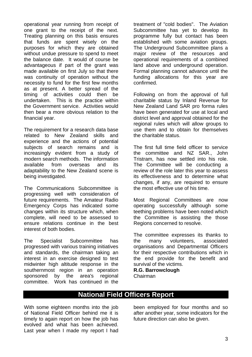operational year running from receipt of one grant to the receipt of the next. Treating planning on this basis ensures that funds are spent wisely on the purposes for which they are obtained without undue pressure to spend to meet the balance date. It would of course be advantageous if part of the grant was made available on first July so that there was continuity of operation without the necessity to fund for the first few months as at present. A better spread of the timing of activities could then be undertaken. This is the practice within the Government service. Activities would then bear a more obvious relation to the financial year.

The requirement for a research data base related to New Zealand skills and experience and the actions of potential subjects of search remains and is increasingly evident from a study of modern search methods. The information available from overseas and its adaptability to the New Zealand scene is being investigated.

The Communications Subcommittee is progressing well with consideration of future requirements. The Amateur Radio Emergency Corps has indicated some changes within its structure which, when complete, will need to be assessed to ensure relations continue in the best interest of both bodies.

The Specialist Subcommittee has progressed with various training initiatives and standards, the chairman taking an interest in an exercise designed to test midwinter high altitude response in the southernmost region in an operation sponsored by the area's regional committee. Work has continued in the

treatment of "cold bodies". The Aviation Subcommittee has yet to develop its programme fully but contact has been established with some aviation groups. The Underground Subcommittee plans a major review of the resources and operational requirements of a combined land above and underground operation. Formal planning cannot advance until the funding allocations for this year are confirmed.

Following on from the approval of full charitable status by Inland Revenue for New Zealand Land SAR pro forma rules have been generated for use at local and district level and approval obtained for the regional rules which will allow groups to use them and to obtain for themselves the charitable status.

The first full time field officer to service the committee and NZ SAR., John Tristram, has now settled into his role. The Committee will be conducting a review of the role later this year to assess its effectiveness and to determine what changes, if any, are required to ensure the most effective use of his time.

Most Regional Committees are now operating successfully although some teething problems have been noted which the Committee is assisting the those Regions concerned to resolve.

The committee expresses its thanks to the many volunteers, associated organisations and Departmental Officers for their respective contributions which in the end provide for the benefit and survival of the victims.

**R.G. Barrowclough** Chairman

# **National Field Officers Report**

With some eighteen months into the job of National Field Officer behind me it is timely to again report on how the job has evolved and what has been achieved. Last year when I made my report I had been employed for four months and so after another year, some indicators for the future direction can also be given.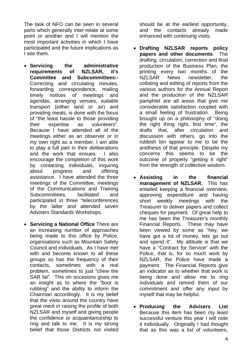The task of NFO can be seen in several parts which generally inter-relate at some point or another and I will mention the most important activities in which I have participated and the future implications as I see them.

- **Servicing the administrative requirements of NZLSAR, it's Committee and Subcommittees:-**  Correcting and circulating minutes, forwarding correspondence, mailing timely notices of meetings and agendas, arranging venues, suitable transport (either land or air) and providing meals, is done with the focus of "the least hassle to those providing their expertise as volunteers". Because I have attended all of the meetings either as an observer or in my own right as a member, I am able to play a full part in their deliberations and the work that ensues. I also encourage the completion of this work by contacting individuals, inquiring about progress and offering assistance. I have attended the three meetings of the Committee, meetings of the Communications and Training Subcommittees, facilitated and participated in three "teleconferences by the latter and attended seven Advisers Standards Workshops.
- **Servicing a National Office** There are an increasing number of approaches being made to this office by Police, organisations such as Mountain Safety Council and individuals. As I have met with and become known to all these groups so has the frequency of their contacts, sometimes with a real problem, sometimes to just "chew the SAR fat". This on occasions gives me an insight as to where the "boot is rubbing" and the ability to inform the Chairman accordingly. It is my belief that the visits around the country have great merit in raising the profile of both NZLSAR and myself and giving people the confidence or acquaintanceship to ring and talk to me. It is my strong belief that those Districts not visited

should be at the earliest opportunity, and the contacts already made enhanced with continuing visits.

- **Drafting NZLSAR reports policy papers and other documents**. The drafting, circulation, correction and final production of the Business Plan, the printing every two months of the NZLSAR News newsletter, the collating and editing of reports from the various authors for the Annual Report and the production of the NZLSAR pamphlet are all areas that give me considerable satisfaction coupled with a small feeling of frustration. Being brought up on a philosophy of "doing the right thing right, first time", the drafts that, after circulation and discussion with others, go into the rubbish bin appear to me to be the antithesis of that principle. Despite my concerns this seems to be the outcome of properly "getting it right" from the strength of collective wisdom.
- **Assisting in the financial management of NZLSAR.** This has entailed keeping a financial overview, approving expenditure and having short weekly meetings with the Treasurer to deliver papers and collect cheques for payment. Of great help to me has been the Treasurer's monthly Financial Reports. These may have been viewed by some as "hey, we have got a lot of money, lets go out and spend it". My attitude is that we have a "Contract for Service" with the Police, that is, for so much work by NZLSAR, the Police have made a payment. The Financial Reports give an indicator as to whether that work is being done and allow me to ring individuals and remind them of our commitment and offer any input by myself that may be helpful.
- **Producing the Advisers List**  Because this item has been my least successful venture this year I will note it individually. Originally I had thought that as this was a list of volunteers,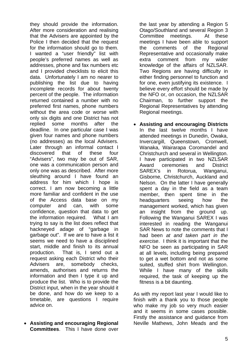they should provide the information. After more consideration and realising that the Advisers are appointed by the Police I then decided that the request for the information should go to them. I wanted a "user friendly" list with people's preferred names as well as addresses, phone and fax numbers etc and I provided checklists to elicit this data. Unfortunately I am no nearer to publishing the list due to having incomplete records for about twenty percent of the people. The information returned contained a number with no preferred first names, phone numbers without the area code or worse with only six digits and one District has not replied some months after the deadline. In one particular case I was given four names and phone numbers (no addresses) as the local Advisers. Later through an informal contact I discovered that of these four "Advisers", two may be out of SAR, one was a communication person and only one was as described. After more sleuthing around I have found an address for him which I hope is correct. I am now becoming a little more familiar and confident in the use of the Access data base on my computer and can, with some confidence, question that data to get the information required. What I am trying to say is the list does reflect that hackneyed adage of "garbage in garbage out". If we are to have a list it seems we need to have a disciplined start, middle and finish to its annual production. That is, I send out a request asking each District who their Advisers are, somebody checks, amends, authorises and returns the information and then I type it up and produce the list. Who is to provide the District input, when in the year should it be done, and how do we keep to a timetable, are questions I require advice on.

• **Assisting and encouraging Regional Committees**. This I have done over

the last year by attending a Region 5 Otago/Southland and several Region 3 Committee meetings. At these meetings I have been able to support the comments of the Regional Representative and occasionally make extra comment from my wider knowledge of the affairs of NZLSAR. Two Regions are having difficulty in either finding personnel to function and for one, even justifying its existence. I believe every effort should be made by the NFO or, on occasion, the NZLSAR Chairman, to further support the Regional Representatives by attending Regional meetings.

• **Assisting and encouraging Districts** In the last twelve months I have attended meetings in Dunedin, Owaka, Invercargill, Queenstown, Cromwell, Wanaka, Wairarapa Coromandel and Christchurch and several in Wellington. I have participated in two NZLSAR Award ceremonies and District SAREX's in Rotorua, Wanganui, Gisborne, Christchurch, Auckland and Nelson. On the latter I have generally spent a day in the field as a team member, then spent time in the headquarters seeing how the management worked, which has given an insight from the ground up. Following the Wanganui SAREX I was interested in reading the Wanganui SAR News to note the comments that I had been *at and taken part in the exercise*. I think it is important that the NFO be seen as participating in SAR at all levels, including being prepared to get a wet bottom and not as some suited, stuffed shirt from Wellington. While I have many of the skills required, the task of keeping up the fitness is a bit daunting.

As with my report last year I would like to finish with a thank you to those people who make my job so very much easier and it seems in some cases possible. Firstly the assistance and guidance from Neville Mathews, John Meads and the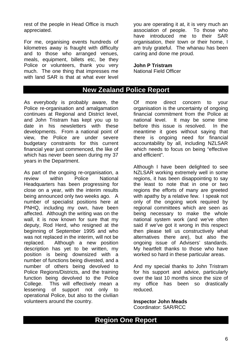rest of the people in Head Office is much appreciated.

For me, organising events hundreds of kilometres away is fraught with difficulty and to those who arranged venues, meals, equipment, billets etc, be they Police or volunteers, thank you very much. The one thing that impresses me with land SAR is that at what ever level you are operating it at, it is very much an association of people. To those who have introduced me to their SAR organisation, their town or their home, I am truly grateful. The whanau has been caring and done me proud.

#### **John P Tristram**

National Field Officer

### **New Zealand Police Report**

As everybody is probably aware, the Police re-organisation and amalgamation continues at Regional and District level, and John Tristram has kept you up to date in his newsletters with these developments. From a national point of view, the Police are under severe budgetary constraints for this current financial year just commenced, the like of which has never been seen during my 37 years in the Department.

As part of the ongoing re-organisation, a review within Police National Headquarters has been progressing for close on a year, with the interim results being announced only two weeks ago. A number of specialist positions here at PNHQ, including my own, have been affected. Although the writing was on the wall, it is now known for sure that my deputy, Rod Herd, who resigned at the beginning of September 1995 and who was not replaced in the interim, will not be replaced. Although a new position description has yet to be written, my position is being downsized with a number of functions being divested, and a number of others being devolved to Police Regions/Districts, and the training function being devolved to the Police College. This will effectively mean a lessening of support not only to operational Police, but also to the civilian volunteers around the country.

Of more direct concern to your organisation is the uncertainty of ongoing financial commitment from the Police at national level. It may be some time before this issue is resolved. In the meantime it goes without saying that there is ongoing need for financial accountability by all, including NZLSAR which needs to focus on being "effective and efficient".

Although I have been delighted to see NZLSAR working extremely well in some regions, it has been disappointing to say the least to note that in one or two regions the efforts of many are greeted with apathy by a relative few. I speak not only of the ongoing work required by regional committees which are seen as being necessary to make the whole national system work (and we've often said if we've got it wrong in this respect then please tell us constructively what alternatives there are), but also the ongoing issue of Advisers' standards. My heartfelt thanks to those who have worked so hard in these particular areas.

And my special thanks to John Tristram for his support and advice, particularly over the last 10 months since the size of my office has been so drastically reduced.

**Inspector John Meads**  Coordinator: SAR/RCC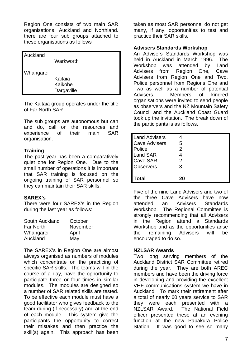Region One consists of two main SAR organisations, Auckland and Northland. there are four sub groups attached to these organisations as follows

| Auckland  |            |
|-----------|------------|
|           | Warkworth  |
|           |            |
| Whangarei |            |
|           | Kaitaia    |
|           | Kaikohe    |
|           | Dargaville |

The Kaitaia group operates under the title of Far North SAR

The sub groups are autonomous but can and do, call on the resources and experience of their main SAR organisation.

#### **Training**

The past year has been a comparatively quiet one for Region One. Due to the small number of operations it is important that SAR training is focused on the ongoing training of SAR personnel so they can maintain their SAR skills.

#### **SAREX's**

There were four SAREX's in the Region during the last year as follows:

| South Auckland   | October  |
|------------------|----------|
| <b>Far North</b> | November |
| Whangarei        | April    |
| Auckland         | May      |

The SAREX's in Region One are almost always organised as numbers of modules which concentrate on the practicing of specific SAR skills. The teams will in the course of a day, have the opportunity to participate three or four times in similar modules. The modules are designed so a number of SAR related skills are tested. To be effective each module must have a good facilitator who gives feedback to the team during (if necessary) and at the end of each module. This system give the participants the opportunity to correct their mistakes and then practice the skill(s) again. This approach has been taken as most SAR personnel do not get many, if any, opportunities to test and practice their SAR skills.

#### **Advisers Standards Workshop**

An Advisers Standards Workshop was held in Auckland in March 1996. The Workshop was attended by Land Advisers from Region One, Cave Advisers from Region One and Two, Police personnel from Regions One and Two as well as a number of potential Advisers. Members of kindred organisations were invited to send people as observers and the NZ Mountain Safety Council and the Auckland Coast Guard took up the invitation. The break down of the participants is as follows.

| <b>Land Advisers</b> |    |
|----------------------|----|
| <b>Cave Advisers</b> | 5  |
| Police               | 2  |
| <b>Land SAR</b>      |    |
| <b>Cave SAR</b>      | 2  |
| <b>Observers</b>     | 3  |
|                      |    |
| <b>Total</b>         | 20 |

Five of the nine Land Advisers and two of the three Cave Advisers have now attended an Advisers Standards Workshop. The Regional Committee is strongly recommending that all Advisers in the Region attend a Standards Workshop and as the opportunities arise the remaining Advisers will be encouraged to do so.

#### **NZLSAR Awards**

Two long serving members of the Auckland District SAR Committee retired during the year. They are both AREC members and have been the driving force in developing and providing the excellent VHF communications system we have in Auckland. To mark their retirement after a total of nearly 60 years service to SAR they were each presented with a NZLSAR Award. The National Field officer presented these at an evening function at the new Papakura Police Station. It was good to see so many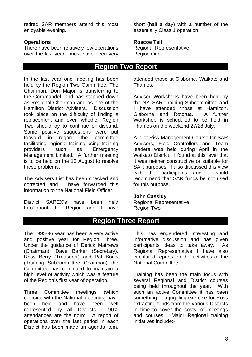retired SAR members attend this most enjoyable evening.

#### **Operations**

There have been relatively few operations over the last year. most have been very short (half a day) with a number of the essentially Class 1 operation.

#### **Roscoe Tait**

Regional Representative Region One

### **Region Two Report**

In the last year one meeting has been held by the Region Two Committee. The Chairman, Don Major is transferring to the Coromandel, and has stepped down as Regional Chairman and as one of the Hamilton District Advisers. Discussion took place on the difficulty of finding a replacement and even whether Region Two should try to continue or disband. Some positive suggestions were put forward in regard the committee facilitating regional training using training providers such as Emergency Management Limited. A further meeting is to be held on the 10 August to resolve these problems.

The Advisers List has been checked and corrected and I have forwarded this information to the National Field Officer.

District SAREX's have been held throughout the Region and I have

attended those at Gisborne, Waikato and Thames.

Adviser Workshops have been held by the NZLSAR Training Subcommittee and I have attended those at Hamilton, Gisborne and Rotorua. A further Workshop is scheduled to be held in Thames on the weekend 27/28 July.

A pilot Risk Management Course for SAR Advisers, Field Controllers and Team leaders was held during April in the Waikato District. I found at this level that it was neither constructive or suitable for SAR purposes. I also discussed this view with the participants and I would recommend that SAR funds be not used for this purpose.

#### **John Cassidy**

Regional Representative Region Two

## **Region Three Report**

The 1995-96 year has been a very active and positive year for Region Three. Under the guidance of Derick Mathews (Chairman), Dave Barker (Secretary), Ross Berry (Treasurer) and Pat Bonis (Training Subcommittee Chairman) the Committee has continued to maintain a high level of activity which was a feature of the Region's first year of operation.

Three Committee meetings (which coincide with the National meetings) have been held and have been well represented by all Districts. 90% attendances are the norm. A report of operations over the last period in each District has been made an agenda item.

This has engendered interesting and informative discussion and has given participants ideas to take away. As Regional Representative I have also circulated reports on the activities of the National Committee.

Training has been the main focus with several Regional and District courses being held throughout the year. With such an active Committee it has been something of a juggling exercise for Ross extracting funds from the various Districts in time to cover the costs, of meetings and courses. Major Regional training initiatives include:-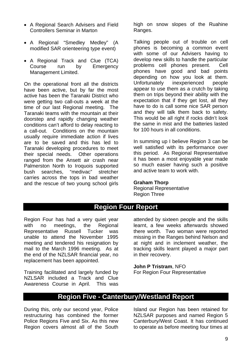- A Regional Search Advisers and Field Controllers Seminar in Marton
- A Regional "Smedley Medley" (A modified SAR orienteering type event)
- A Regional Track and Clue (TCA) Course run by Emergency Management Limited.

On the operational front all the districts have been active, but by far the most active has been the Taranaki District who were getting two call-outs a week at the time of our last Regional meeting. The Taranaki teams with the mountain at their doorstep and rapidly changing weather conditions can't afford to delay reacting to a call-out. Conditions on the mountain usually require immediate action if lives are to be saved and this has led to Taranaki developing procedures to meet their special needs. Other operations ranged from the Ansett air crash near Palmerston North to Iroquois supported bush searches, "medivac" stretcher carries across the tops in bad weather and the rescue of two young school girls high on snow slopes of the Ruahine Ranges.

Talking people out of trouble on cell phones is becoming a common event with some of our Advisers having to develop new skills to handle the particular problems cell phones present. Cell phones have good and bad points depending on how you look at them. Unfortunately inexperienced people appear to use them as a crutch by taking them on trips beyond their ability with the expectation that if they get lost, all they have to do is call some nice SAR person and they will talk them back to safety. This would be all right if rocks didn't look the same in mist and the batteries lasted for 100 hours in all conditions.

In summing up I believe Region 3 can be well satisfied with its performance over this period. As Regional Representative it has been a most enjoyable year made so much easier having such a positive and active team to work with.

#### **Graham Thorp**

Regional Representative Region Three

## **Region Four Report**

Region Four has had a very quiet year with no meetings, the Regional Representative Russell Tucker was unable to attend the November 1995 meeting and tendered his resignation by mail to the March 1996 meeting. As at the end of the NZLSAR financial year, no replacement has been appointed.

Training facilitated and largely funded by NZLSAR included a Track and Clue Awareness Course in April. This was

attended by sixteen people and the skills learnt, a few weeks afterwards showed there worth. Two woman were reported missing in the Ranges behind Nelson and at night and in inclement weather, the tracking skills learnt played a major part in their recovery.

#### **John P Tristram**, NFO

For Region Four Representative

### **Region Five - Canterbury/Westland Report**

During this, only our second year, Police restructuring has combined the former Police Regions Five and Six. As this new Region covers almost all of the South Island our Region has been retained for NZLSAR purposes and named Region 5 Canterbury/West Coast. It has continued to operate as before meeting four times at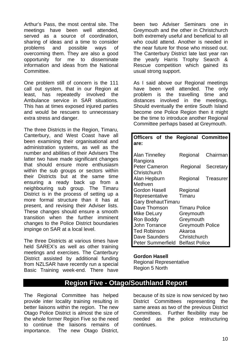Arthur's Pass, the most central site. The meetings have been well attended, served as a source of coordination, sharing of ideas and a time to consider problems and possible ways of overcoming them. They are also a good opportunity for me to disseminate information and ideas from the National **Committee.** 

One problem still of concern is the 111 call out system, that in our Region at least, has repeatedly involved the Ambulance service in SAR situations. This has at times exposed injured parties and would be rescuers to unnecessary extra stress and danger.

The three Districts in the Region, Timaru, Canterbury, and West Coast have all been examining their organisational and administration systems, as well as the number and abilities of their Advisers The latter two have made significant changes that should ensure more enthusiasm within the sub groups or sectors within their Districts but at the same time ensuring a ready back up from a neighbouring sub group. The Timaru District is in the process of setting up a more formal structure than it has at present, and revising their Adviser lists. These changes should ensure a smooth transition when the further imminent changes to the Police District boundaries impinge on SAR at a local level.

The three Districts at various times have held SAREX's as well as other training meetings and exercises. The Canterbury District assisted by additional funding from NZLSAR have recently run a special Basic Training week-end. There have

been two Adviser Seminars one in Greymouth and the other in Christchurch both extremely useful and beneficial to all who could attend. Another is needed in the near future for those who missed out. The Canterbury District late last year ran the yearly Harris Trophy Search & Rescue competition which gained its usual strong support.

As I said above our Regional meetings have been well attended. The only problem is the travelling time and distances involved in the meetings. Should eventually the entire South Island become one Police Region then it might be the time to introduce another Regional Committee perhaps based at Greymouth.

| Officers of the Regional Committee                                |                         |           |  |
|-------------------------------------------------------------------|-------------------------|-----------|--|
| are:                                                              |                         |           |  |
| <b>Alan Tinnelley</b>                                             | Regional                | Chairman  |  |
| Rangiora                                                          |                         |           |  |
| <b>Peter Cameron</b>                                              | Regional                | Secretary |  |
| Christchurch                                                      |                         |           |  |
| Alan Hepburn                                                      | Regional                | Treasurer |  |
| Methven                                                           |                         |           |  |
| <b>Gordon Hasell</b>                                              | Regional                |           |  |
| Representative<br>Timaru                                          |                         |           |  |
| <b>Gary BrehautTimaru</b><br>Dave Thomson<br><b>Timaru Police</b> |                         |           |  |
| Mike DeLury                                                       | Greymouth               |           |  |
| Ron Boddy                                                         | Greymouth               |           |  |
| John Torrance                                                     | <b>Greymouth Police</b> |           |  |
| <b>Ted Robinson</b>                                               | Akaroa                  |           |  |
| Dave Saunders                                                     | Christchurch            |           |  |
| Peter Summerfield                                                 | <b>Belfast Police</b>   |           |  |

#### **Gordon Hasell**

Regional Representative Region 5 North

## **Region Five - Otago/Southland Report**

The Regional Committee has helped provide inter locality training resulting in better liaisons within the region. The new Otago Police District is almost the size of the whole former Region Five so the need to continue the liaisons remains of importance. The new Otago District,

because of its size is now serviced by two District Committees representing the same areas as two of the previous District Committees. Further flexibility may be needed as the police restructuring continues.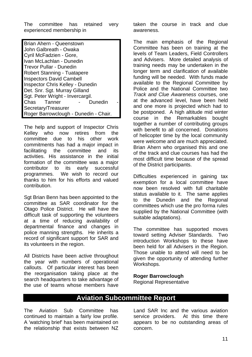The committee has retained very experienced membership in

| Brian Ahern - Queenstown                |  |
|-----------------------------------------|--|
| John Galbreath - Owaka                  |  |
| Cyril McFadzien - Gore,                 |  |
| Ivan McLachlan - Dunedin                |  |
| Trevor Pullar - Dunedin                 |  |
| <b>Robert Stanning - Tuatapere</b>      |  |
| <b>Inspectors David Cambell</b>         |  |
| <b>Inspector Chris Kelley - Dunedin</b> |  |
| Det. Snr. Sgt. Murray Gilland           |  |
| Sgt. Peter Wright - Invercargil.        |  |
| Chas Tanner<br>Dunedin                  |  |
| Secretary/Treasurer                     |  |
| Roger Barrowclough - Dunedin - Chair.   |  |

The help and support of Inspector Chris Kelley who now retires from the committee due to his other work commitments has had a major impact in facilitating the committee and its activities. His assistance in the initial formation of the committee was a major contributor to its early successful programmes. We wish to record our thanks to him for his efforts and valued contribution.

Sgt Brian Benn has been appointed to the committee as SAR coordinator for the Otago Police District. He will have the difficult task of supporting the volunteers at a time of reducing availability of departmental finance and changes in police manning strengths. He inherits a record of significant support for SAR and its volunteers in the region.

All Districts have been active throughout the year with numbers of operational callouts. Of particular interest has been the reorganisation taking place at the search headquarters to take advantage of the use of teams whose members have taken the course in track and clue awareness.

The main emphasis of the Regional Committee has been on training at the levels of Team Leaders, Field Controllers and Advisers. More detailed analysis of training needs may be undertaken in the longer term and clarification of available funding will be needed. With funds made available to the Regional Committee by Police and the National Committee two *Track and Clue Awareness* courses, one at the advanced level, have been held and one more is projected which had to be postponed. A high altitude mid winter course in the Remarkables bought together a number of contributing groups with benefit to all concerned. Donations of helicopter time by the local community were welcome and are much appreciated. Brian Ahern who organised this and one of the track and clue courses has had the most difficult time because of the spread of the District participants.

Difficulties experienced in gaining tax exemption for a local committee have now been resolved with full charitable status available to it. The same applies to the Dunedin and the Regional committees which use the pro forma rules supplied by the National Committee (with suitable adaptations).

The committee has supported moves toward setting Adviser Standards. Two introduction Workshops to these have been held for all Advisers in the Region. Those unable to attend will need to be given the opportunity of attending further Workshops.

#### **Roger Barrowclough**

Regional Representative

# **Aviation Subcommittee Report**

The Aviation Sub Committee has continued to maintain a fairly low profile. A 'watching brief' has been maintained on the relationship that exists between NZ

Land SAR Inc and the various aviation service providers. At this time there appears to be no outstanding areas of concern.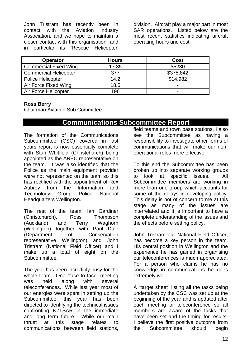John Tristram has recently been in contact with the Aviation Industry Association, and we hope to maintain a closer contact with this organisation, and in particular its 'Rescue Helicopter'

division. Aircraft play a major part in most SAR operations. Listed below are the most recent statistics indicating aircraft operating hours and cost:

| <b>Operator</b>              | <b>Hours</b> | Cost                     |
|------------------------------|--------------|--------------------------|
| <b>Commercial Fixed Wing</b> | 17.85        | \$5230                   |
| <b>Commercial Helicopter</b> | 377          | \$375,842                |
| <b>Police Helicopter</b>     | 14.2         | \$14,982                 |
| Air Force Fixed Wing         | 18.5         | $\overline{\phantom{0}}$ |
| Air Force Helicopter         | 196          | $\overline{\phantom{0}}$ |

#### **Ross Berry**

Chairman Aviation Sub Committee

### **Communications Subcommittee Report**

The formation of the Communications Subcommittee (CSC) covered in last years report is now essentially complete with Stan Whitfield (Christchurch) being appointed as the AREC representative on the team. It was also identified that the Police as the main equipment provider were not represented on the team so this has rectified with the appointment of Rex Aubrey from the Information and Technology Group Police National Headquarters Wellington.

The rest of the team, Ian Gardiner (Christchurch), Ross Thompson (Auckland) and Terry Waghorn (Wellington) together with Paul Dale (Department of Conservation representative Wellington) and John Tristram (National Field Officer) and I make up a total of eight on the Subcommittee.

The year has been incredibly busy for the whole team. One "face to face" meeting was held along with several teleconferences. While last year most of our energies were spent in setting up the Subcommittee, this year has been directed to identifying the technical issues confronting NZLSAR in the immediate and long term future. While our main thrust at this stage relates to communications between field stations, field teams and town base stations, I also see the Subcommittee as having a responsibility to investigate other forms of communications that will make our nonoperational roles more effective.

To this end the Subcommittee has been broken up into separate working groups to look at specific issues. All Subcommittee members are working in more than one group which accounts for some of the delays in developing policy. This delay is not of concern to me at this stage as many of the issues are interrelated and it is important to have a complete understanding of the issues and the effects before setting policy.

John Tristram our National Field Officer, has become a key person in the team. His central position in Wellington and the experience he has gained in organising our teleconferences is much appreciated. For a person who claims he has no knowledge in communications he does extremely well.

A "target sheet" listing all the tasks being undertaken by the CSC was set up at the beginning of the year and is updated after each meeting or teleconference so all members are aware of the tasks that have been set and the timing for results. I believe the first positive outcome from the Subcommittee should begin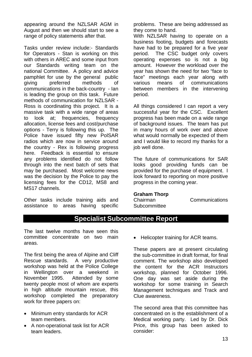appearing around the NZLSAR AGM in August and then we should start to see a range of policy statements after that.

Tasks under review include:- Standards for Operators - Stan is working on this with others in AREC and some input from our Standards writing team on the national Committee. A policy and advice pamphlet for use by the general public giving preferred methods of communications in the back-country - Ian is leading the group on this task. Future methods of communication for NZLSAR - Ross is coordinating this project. It is a massive task with a wide range of areas to look at; frequencies, frequency allocation, license fees and cost/purchase options - Terry is following this up. The Police have issued fifty new PolSAR radios which are now in service around the country - Rex is following progress here. Feedback is essential to ensure any problems identified do not follow through into the next batch of sets that may be purchased. Most welcome news was the decision by the Police to pay the licensing fees for the CD12, MS8 and MS17 channels.

Other tasks include training aids and assistance to areas having specific problems. These are being addressed as they come to hand.

With NZLSAR having to operate on a business footing, budgets and forecasts have had to be prepared for a five year period. The CSC budget only covers operating expenses so is not a big amount. However the workload over the year has shown the need for two "face to face" meetings each year along with various means of communications between members in the intervening period.

All things considered I can report a very successful year for the CSC. Excellent progress has been made on a wide range of background issues. The team has put in many hours of work over and above what would normally be expected of them and I would like to record my thanks for a job well done.

The future of communications for SAR looks good providing funds can be provided for the purchase of equipment. I look forward to reporting on more positive progress in the coming year.

#### **Graham Thorp**

| Chairman     |
|--------------|
| Subcommittee |

**Communications** 

### **Specialist Subcommittee Report**

The last twelve months have seen this committee concentrate on two main areas.

The first being the area of Alpine and Cliff Rescue standards. A very productive workshop was held at the Police College in Wellington over a weekend in November 1995. Attended by some twenty people most of whom are experts in high altitude mountain rescue, this workshop completed the preparatory work for three papers on:

- Minimum entry standards for ACR team members.
- A non-operational task list for ACR team leaders.

• Helicopter training for ACR teams.

These papers are at present circulating the sub-committee in draft format, for final comment. The workshop also developed the content for the ACR Instructors workshop, planned for October 1996. One day was set aside during the workshop for some training in Search Management techniques and Track and Clue awareness.

The second area that this committee has concentrated on is the establishment of a Medical working party. Led by Dr. Dick Price, this group has been asked to consider: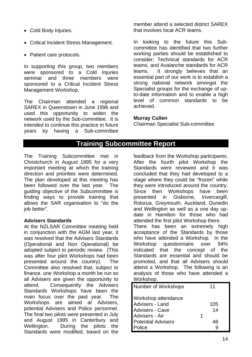- Cold Body Injuries.
- Critical Incident Stress Management.
- Patient care protocols.

In supporting this group, two members were sponsored to a Cold Injuries seminar and three members were sponsored to a Critical Incident Stress Management Workshop.

The Chairman attended a regional SAREX in Queenstown in June 1996 and used this opportunity to widen the network used by the Sub-committee. It is intended to continue this practice in future years by having a Sub-committee member attend a selected district SAREX that involves local ACR teams.

In looking to the future this Subcommittee has identified that two further working parties should be established to consider; Technical standards for ACR teams, and Avalanche standards for ACR teams. It strongly believes that an essential part of our work is to establish a strong national network amongst the Specialist groups for the exchange of upto-date information and to enable a high level of common standards to be achieved.

#### **Murray Cullen**

Chairman Specialist Sub-committee

### **Training Subcommittee Report**

The Training Subcommittee met in Christchurch in August 1995 for a very important meeting at which the training direction and priorities were determined. The plan developed at this meeting has been followed over the last year. The guiding objective of the Subcommittee is finding ways to provide training that allows the SAR organisation to "do the job better".

#### **Advisers Standards**

At the NZLSAR Committee meeting held in conjunction with the AGM last year, it was resolved that the Advisers Standards (Operational and Non Operational) be adopted subject to periodic review. (This was after four pilot Workshops had been presented around the country). The Committee also resolved that, subject to finance. one Workshop a month be run so all Advisers are given the opportunity to attend. Consequently the Advisers Standards Workshops have been the main focus over the past year. The Workshops are aimed at Advisers, potential Advisers and Police personnel. The final two pilots were presented in July and August 1995 in Canterbury and Wellington. During the pilots the Standards were modified, based on the

feedback from the Workshop participants. After the fourth pilot Workshop the Standards were reviewed and it was concluded that they had developed to a stage where they could be "frozen" while they were introduced around the country. Since then Workshops have been presented in Gisborne, Invercargill, Rotorua, Greymouth, Auckland, Dunedin and Wellington as well as a one day update in Hamilton for those who had attended the first pilot Workshop there. There has been an extremely high acceptance of the Standards by those who have attended a Workshop. In the Workshop questionnaire over 94% indicated that the concept of the Standards are essential and should be promoted, and that all Advisers should attend a Workshop. The following is an analysis of those who have attended a Workshop.

| Number of Workshops       |   | 11  |
|---------------------------|---|-----|
| Workshop attendance       |   |     |
| Advisers - Land           |   | 105 |
| <b>Advisers - Cave</b>    |   | 14  |
| Advisers - Air            | 1 |     |
| <b>Potential Advisers</b> |   | 48  |
| Police                    |   |     |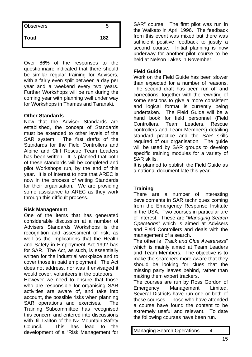| <b>Observers</b> | 5   |  |
|------------------|-----|--|
| Total            | 182 |  |

Over 86% of the responses to the questionnaire indicated that there should be similar regular training for Advisers, with a fairly even split between a day per year and a weekend every two years. Further Workshops will be run during the coming year with planning well under way for Workshops in Thames and Taranaki.

#### **Other Standards**

Now that the Adviser Standards are established, the concept of Standards must be extended to other levels of the SAR system. The first drafts of the Standards for the Field Controllers and Alpine and Cliff Rescue Team Leaders has been written. It is planned that both of these standards will be completed and pilot Workshops run, by the end of this year. It is of interest to note that AREC is now in the process of writing Standards for their organisation. We are providing some assistance to AREC as they work through this difficult process.

#### **Risk Management**

One of the items that has generated considerable discussion at a number of Advisers Standards Workshops is the recognition and assessment of risk, as well as the implications that the Health and Safety in Employment Act 1992 has for SAR. The Act, as such, is essentially written for the industrial workplace and to cover those in paid employment. The Act does not address, nor was it envisaged it would cover, volunteers in the outdoors.

However we need to ensure that those who are responsible for organising SAR activities are aware of, and take into account, the possible risks when planning SAR operations and exercises. The Training Subcommittee has recognised this concern and entered into discussions with Jill Dalton of the NZ Mountain Safety Council. This has lead to the development of a "Risk Management for SAR" course. The first pilot was run in the Waikato in April 1996. The feedback from this event was mixed but there was sufficient positive feedback to justify a second course. Initial planning is now underway for another pilot course to be held at Nelson Lakes in November.

#### **Field Guide**

Work on the Field Guide has been slower than expected for a number of reasons. The second draft has been run off and corrections, together with the rewriting of some sections to give a more consistent and logical format is currently being undertaken. The Field Guide will be a hand book for field personnel (Field Controllers, Team Leaders, Rescue controllers and Team Members) detailing standard practice and the SAR skills required of our organisation. The guide will be used by SAR groups to develop specific training modules for a variety of SAR skills.

It is planned to publish the Field Guide as a national document late this year.

#### **Training**

There are a number of interesting developments in SAR techniques coming from the Emergency Response Institute in the USA. Two courses in particular are of interest. These are "*Managing Search Operations*" which is aimed at Advisers and Field Controllers and deals with the management of a search.

The other is "*Track and Clue Awareness*" which is mainly aimed at Team Leaders and Team Members. The objective is to make the searchers more aware that they should be looking for clues that the missing party leaves behind, rather than making them expert trackers.

The courses are run by Ross Gordon of Emergency Management Limited. Several Districts have run one or both of these courses. Those who have attended a course have found the content to be extremely useful and relevant. To date the following courses have been run.

Managing Search Operations 4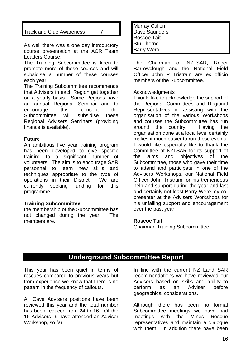#### Track and Clue Awareness 7

As well there was a one day introductory course presentation at the ACR Team Leaders Course.

The Training Subcommittee is keen to promote more of these courses and will subsidise a number of these courses each year.

The Training Subcommittee recommends that Advisers in each Region get together on a yearly basis. Some Regions have an annual Regional Seminar and to encourage this concept the Subcommittee will subsidise these Regional Advisers Seminars (providing finance is available).

#### **Future**

An ambitious five year training program has been developed to give specific training to a significant number of volunteers. The aim is to encourage SAR personnel to learn new skills and techniques appropriate to the type of operations in their District. We are currently seeking funding for this programme.

#### **Training Subcommittee**

the membership of the Subcommittee has not changed during the year. The members are.

Murray Cullen Dave Saunders Roscoe Tait Stu Thorne Barry Were

The Chairman of NZLSAR, Roger Barrowclough and the National Field Officer John P Tristram are ex officio members of the Subcommittee.

#### Acknowledgments

I would like to acknowledge the support of the Regional Committees and Regional Representatives in assisting with the organisation of the various Workshops and courses the Subcommittee has run around the country. Having the organisation done at a local level certainly makes it much easier to run these events. I would like especially like to thank the Committee of NZLSAR for its support of the aims and objectives of the Subcommittee, those who gave their time to attend and participate in one of the Advisers Workshops, our National Field Officer John Tristram for his tremendous help and support during the year and last and certainly not least Barry Were my copresenter at the Advisers Workshops for his unfailing support and encouragement over the past year.

#### **Roscoe Tait**

Chairman Training Subcommittee

## **Underground Subcommittee Report**

This year has been quiet in terms of rescues compared to previous years but from experience we know that there is no pattern in the frequency of callouts.

All Cave Advisers positions have been reviewed this year and the total number has been reduced from 24 to 16. Of the 16 Advisers 9 have attended an Adviser Workshop, so far.

In line with the current NZ Land SAR recommendations we have reviewed our Advisers based on skills and ability to perform as an Adviser before geographical considerations.

Although there has been no formal Subcommittee meetings we have had meetings with the Mines Rescue representatives and maintain a dialogue with them. In addition there have been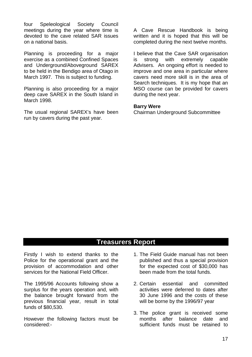four Speleological Society Council meetings during the year where time is devoted to the cave related SAR issues on a national basis.

Planning is proceeding for a major exercise as a combined Confined Spaces and Underground/Aboveground SAREX to be held in the Bendigo area of Otago in March 1997. This is subject to funding.

Planning is also proceeding for a major deep cave SAREX in the South Island in March 1998.

The usual regional SAREX's have been run by cavers during the past year.

A Cave Rescue Handbook is being written and it is hoped that this will be completed during the next twelve months.

I believe that the Cave SAR organisation is strong with extremely capable Advisers. An ongoing effort is needed to improve and one area in particular where cavers need more skill is in the area of Search techniques. It is my hope that an MSO course can be provided for cavers during the next year.

#### **Barry Were**

Chairman Underground Subcommittee

## **Treasurers Report**

Firstly I wish to extend thanks to the Police for the operational grant and the provision of accommodation and other services for the National Field Officer.

The 1995/96 Accounts following show a surplus for the years operation and, with the balance brought forward from the previous financial year, result in total funds of \$80,530.

However the following factors must be considered:-

- 1. The Field Guide manual has not been published and thus a special provision for the expected cost of \$30,000 has been made from the total funds.
- 2. Certain essential and committed activities were deferred to dates after 30 June 1996 and the costs of these will be borne by the 1996/97 year
- 3. The police grant is received some months after balance date and sufficient funds must be retained to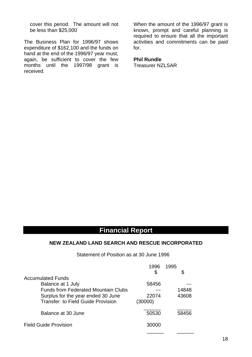cover this period. The amount will not be less than \$25,000

The Business Plan for 1996/97 shows expenditure of \$162,100 and the funds on hand at the end of the 1996/97 year must, again, be sufficient to cover the few months until the 1997/98 grant is received.

When the amount of the 1996/97 grant is known, prompt and careful planning is required to ensure that all the important activities and commitments can be paid for.

### **Phil Rundle**

Treasurer NZLSAR

## **Financial Report**

#### **NEW ZEALAND LAND SEARCH AND RESCUE INCORPORATED**

Statement of Position as at 30 June 1996

|                                            | 1996    | 1995  |
|--------------------------------------------|---------|-------|
|                                            | \$      |       |
| <b>Accumulated Funds</b>                   |         |       |
| Balance at 1 July                          | 58456   |       |
| <b>Funds from Federated Mountain Clubs</b> |         | 14848 |
| Surplus for the year ended 30 June         | 22074   | 43608 |
| <b>Transfer to Field Guide Provision</b>   | (30000) |       |
| Balance at 30 June                         | 50530   | 58456 |
|                                            |         |       |
| <b>Field Guide Provision</b>               | 30000   |       |
|                                            |         |       |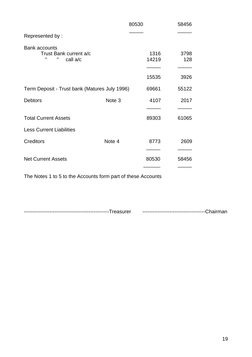|                                                                                 |                   | 80530         | 58456       |
|---------------------------------------------------------------------------------|-------------------|---------------|-------------|
| Represented by:                                                                 |                   |               |             |
| <b>Bank accounts</b><br>Trust Bank current a/c<br>$\mathbf{u}$<br>п<br>call a/c |                   | 1316<br>14219 | 3798<br>128 |
|                                                                                 |                   | 15535         | 3926        |
| Term Deposit - Trust bank (Matures July 1996)                                   |                   | 69661         | 55122       |
| <b>Debtors</b>                                                                  | Note <sub>3</sub> | 4107          | 2017        |
| <b>Total Current Assets</b>                                                     |                   | 89303         | 61065       |
| <b>Less Current Liabilities</b>                                                 |                   |               |             |
| Creditors                                                                       | Note 4            | 8773          | 2609        |
| <b>Net Current Assets</b>                                                       |                   | 80530         | 58456       |

The Notes 1 to 5 to the Accounts form part of these Accounts

--------------------------------------------------Treasurer -------------------------------------Chairman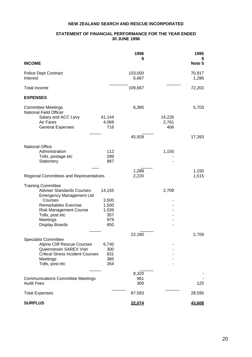#### **NEW ZEALAND SEARCH AND RESCUE INCORPORATED**

#### **STATEMENT OF FINANCIAL PERFORMANCE FOR THE YEAR ENDED 30 JUNE 1996**

|                                                                                                                                                                       |                                   | 1996<br>S           |                 | 1995<br>\$      |
|-----------------------------------------------------------------------------------------------------------------------------------------------------------------------|-----------------------------------|---------------------|-----------------|-----------------|
| <b>INCOME</b>                                                                                                                                                         |                                   |                     |                 | Note 5          |
| <b>Police Dept Contract</b><br>Interest                                                                                                                               |                                   | 103,000<br>6,667    |                 | 70,917<br>1,286 |
| <b>Total Income</b>                                                                                                                                                   |                                   | 109,667             |                 | 72,203          |
| <b>EXPENSES</b>                                                                                                                                                       |                                   |                     |                 |                 |
| <b>Committee Meetings</b><br>National Field Officer<br>Salary and ACC Levy<br>Air Fares                                                                               | 41,144<br>4,069                   | 6,395               | 14,226<br>2,761 | 5,703           |
| <b>General Expenses</b>                                                                                                                                               | 716                               |                     | 406             |                 |
|                                                                                                                                                                       |                                   | 45,929              |                 | 17,393          |
| <b>National Office</b><br>Administration<br>Tolls, postage etc<br>Stationery                                                                                          | 112<br>289<br>887                 |                     | 1,150           |                 |
|                                                                                                                                                                       |                                   | 1,288               |                 | 1,150           |
| <b>Regional Committees and Representatives</b>                                                                                                                        |                                   | 2,220               |                 | 1,515           |
| <b>Training Committee</b><br><b>Adviser Standards Courses</b><br><b>Emergency Management Ltd</b><br>Courses                                                           | 14,155<br>3,500                   |                     | 2,709           |                 |
| Remarkables Exercise<br><b>Risk Management Course</b><br>Tolls, post etc<br>Meetings                                                                                  | 1,500<br>1,039<br>357<br>979      |                     |                 |                 |
| Display Boards                                                                                                                                                        | 650                               |                     |                 |                 |
| <b>Specialist Committee</b><br><b>Alpine Cliff Rescue Courses</b><br>Queenstown SAREX Visit<br><b>Critical Stress Incident Courses</b><br>Meetings<br>Tolls, post etc | 6,740<br>300<br>631<br>385<br>264 | 22,180              |                 | 2,709           |
| <b>Communications Committee Meetings</b><br><b>Audit Fees</b>                                                                                                         |                                   | 8,320<br>961<br>300 |                 | 125             |
| <b>Total Expenses</b>                                                                                                                                                 |                                   | 87,593              |                 | 28,595          |
| <b>SURPLUS</b>                                                                                                                                                        |                                   | 22,074              |                 | <u>43,608</u>   |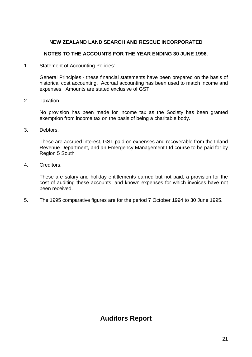### **NEW ZEALAND LAND SEARCH AND RESCUE INCORPORATED**

#### **NOTES TO THE ACCOUNTS FOR THE YEAR ENDING 30 JUNE 1996**.

1. Statement of Accounting Policies:

 General Principles - these financial statements have been prepared on the basis of historical cost accounting. Accrual accounting has been used to match income and expenses. Amounts are stated exclusive of GST.

2. Taxation.

 No provision has been made for income tax as the Society has been granted exemption from income tax on the basis of being a charitable body.

3. Debtors.

 These are accrued interest, GST paid on expenses and recoverable from the Inland Revenue Department, and an Emergency Management Ltd course to be paid for by Region 5 South

4. Creditors.

 These are salary and holiday entitlements earned but not paid, a provision for the cost of auditing these accounts, and known expenses for which invoices have not been received.

5. The 1995 comparative figures are for the period 7 October 1994 to 30 June 1995.

# **Auditors Report**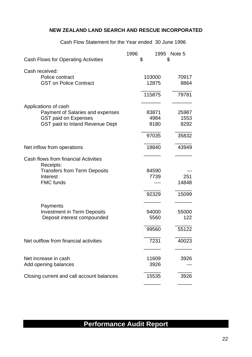#### **NEW ZEALAND LAND SEARCH AND RESCUE INCORPORATED**

Cash Flow Statement for the Year ended 30 June 1996

| Cash Flows for Operating Activities                                                                                      | 1996<br>\$ |                 | 1995 Note 5<br>\$ |
|--------------------------------------------------------------------------------------------------------------------------|------------|-----------------|-------------------|
| Cash received:<br>Police contract<br><b>GST on Police Contract</b>                                                       |            | 103000<br>12875 | 70917<br>8864     |
|                                                                                                                          |            | 115875          | 79781             |
| Applications of cash<br><b>Payment of Salaries and expenses</b><br><b>GST paid on Expenses</b>                           |            | 83871<br>4984   | 25987<br>1553     |
| GST paid to Inland Revenue Dept                                                                                          |            | 8180<br>97035   | 8292<br>35832     |
| Net inflow from operations                                                                                               |            | 18840           | 43949             |
| Cash flows from financial Activities<br>Receipts:<br><b>Transfers from Term Deposits</b><br>Interest<br><b>FMC funds</b> |            | 84590<br>7739   | 251<br>14848      |
| Payments<br><b>Investment in Term Deposits</b>                                                                           |            | 92329<br>94000  | 15099<br>55000    |
| Deposit interest compounded                                                                                              |            | 5560<br>99560   | 122<br>55122      |
| Net outflow from financial activities                                                                                    |            | 7231            | 40023             |
| Net increase in cash<br>Add opening balances                                                                             |            | 11609<br>3926   | 3926              |
| Closing current and call account balances                                                                                |            | 15535           | 3926              |

# **Performance Audit Report**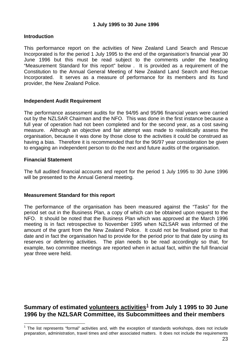#### **1 July 1995 to 30 June 1996**

#### **Introduction**

This performance report on the activities of New Zealand Land Search and Rescue Incorporated is for the period 1 July 1995 to the end of the organisation's financial year 30 June 1996 but this must be read subject to the comments under the heading "Measurement Standard for this report" below . It is provided as a requirement of the Constitution to the Annual General Meeting of New Zealand Land Search and Rescue Incorporated. It serves as a measure of performance for its members and its fund provider, the New Zealand Police.

#### **Independent Audit Requirement**

The performance assessment audits for the 94/95 and 95/96 financial years were carried out by the NZLSAR Chairman and the NFO. This was done in the first instance because a full year of operation had not been completed and for the second year, as a cost saving measure. Although an objective and fair attempt was made to realistically assess the organisation, because it was done by those close to the activities it could be construed as having a bias. Therefore it is recommended that for the 96/97 year consideration be given to engaging an independent person to do the next and future audits of the organisation.

#### **Financial Statement**

The full audited financial accounts and report for the period 1 July 1995 to 30 June 1996 will be presented to the Annual General meeting.

#### **Measurement Standard for this report**

The performance of the organisation has been measured against the "Tasks" for the period set out in the Business Plan, a copy of which can be obtained upon request to the NFO. It should be noted that the Business Plan which was approved at the March 1996 meeting is in fact retrospective to November 1995 when NZLSAR was informed of the amount of the grant from the New Zealand Police. It could not be finalised prior to that date and in fact the organisation had to provide for the period prior to that date by using its reserves or deferring activities. The plan needs to be read accordingly so that, for example, two committee meetings are reported when in actual fact, within the full financial year three were held.

### **Summary of estimated volunteers activities[1](#page-23-0) from July 1 1995 to 30 June 1996 by the NZLSAR Committee, its Subcommittees and their members**

<span id="page-23-0"></span> $\overline{a}$  $1$  The list represents "formal" activities and, with the exception of standards workshops, does not include preparation, administration, travel times and other associated matters. It does not include the requirements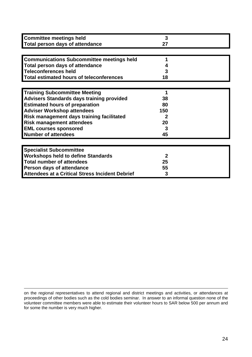| <b>Committee meetings held</b>                   | 3   |  |
|--------------------------------------------------|-----|--|
| <b>Total person days of attendance</b>           | 27  |  |
|                                                  |     |  |
| <b>Communications Subcommittee meetings held</b> |     |  |
| <b>Total person days of attendance</b>           |     |  |
| Teleconferences held                             | 3   |  |
| <b>Total estimated hours of teleconferences</b>  | 18  |  |
|                                                  |     |  |
| <b>Training Subcommittee Meeting</b>             |     |  |
| <b>Advisers Standards days training provided</b> | 38  |  |
| <b>Estimated hours of preparation</b>            | 80  |  |
| <b>Adviser Workshop attendees</b>                | 150 |  |
| Risk management days training facilitated        |     |  |
| <b>Risk management attendees</b>                 | 20  |  |
| <b>EML courses sponsored</b>                     | 3   |  |
| <b>Number of attendees</b>                       | 45  |  |
|                                                  |     |  |
| <b>Specialist Subcommittee</b>                   |     |  |
| <b>Workshops held to define Standards</b>        | 2   |  |
| <b>Total number of attendees</b>                 | 25  |  |
| Person days of attendance                        | 55  |  |
| Attendees at a Critical Stress Incident Debrief  | 3   |  |

on the regional representatives to attend regional and district meetings and activities, or attendances at proceedings of other bodies such as the cold bodies seminar. In answer to an informal question none of the volunteer committee members were able to estimate their volunteer hours to SAR below 500 per annum and for some the number is very much higher.

 $\overline{a}$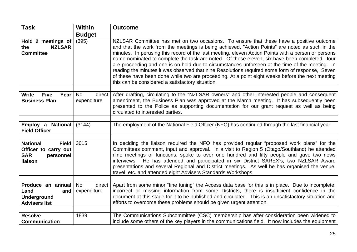| Task                                                                                   | <b>Within</b>                      | <b>Outcome</b>                                                                                                                                                                                                                                                                                                                                                                                                                                                                                                                                                                                                                                                                                                                                                   |
|----------------------------------------------------------------------------------------|------------------------------------|------------------------------------------------------------------------------------------------------------------------------------------------------------------------------------------------------------------------------------------------------------------------------------------------------------------------------------------------------------------------------------------------------------------------------------------------------------------------------------------------------------------------------------------------------------------------------------------------------------------------------------------------------------------------------------------------------------------------------------------------------------------|
|                                                                                        | <b>Budget</b>                      |                                                                                                                                                                                                                                                                                                                                                                                                                                                                                                                                                                                                                                                                                                                                                                  |
| Hold 2 meetings of<br><b>NZLSAR</b><br>the<br><b>Committee</b>                         | (395)                              | NZLSAR Committee has met on two occasions. To ensure that these have a positive outcome<br>and that the work from the meetings is being achieved, "Action Points" are noted as such in the<br>minutes. In perusing this record of the last meeting, eleven Action Points with a person or persons<br>name nominated to complete the task are noted. Of these eleven, six have been completed, four<br>are proceeding and one is on hold due to circumstances unforseen at the time of the meeting. In<br>reading the minutes it was observed that nine Resolutions required some form of response, Seven<br>of these have been done while two are proceeding. At a point eight weeks before the next meeting<br>this can be considered a satisfactory situation. |
| <b>Write</b><br><b>Five</b><br>Year<br><b>Business Plan</b>                            | <b>No</b><br>direct<br>expenditure | After drafting, circulating to the "NZLSAR owners" and other interested people and consequent<br>amendment, the Business Plan was approved at the March meeting. It has subsequently been                                                                                                                                                                                                                                                                                                                                                                                                                                                                                                                                                                        |
|                                                                                        |                                    | presented to the Police as supporting documentation for our grant request as well as being<br>circulated to interested parties.                                                                                                                                                                                                                                                                                                                                                                                                                                                                                                                                                                                                                                  |
|                                                                                        |                                    |                                                                                                                                                                                                                                                                                                                                                                                                                                                                                                                                                                                                                                                                                                                                                                  |
| Employ a National<br><b>Field Officer</b>                                              | (3144)                             | The employment of the National Field Officer (NFO) has continued through the last financial year                                                                                                                                                                                                                                                                                                                                                                                                                                                                                                                                                                                                                                                                 |
|                                                                                        |                                    |                                                                                                                                                                                                                                                                                                                                                                                                                                                                                                                                                                                                                                                                                                                                                                  |
| <b>National</b><br>Field<br>Officer to carry out<br><b>SAR</b><br>personnel<br>liaison | 3015                               | In deciding the liaison required the NFO has provided regular "proposed work plans" for the<br>Committees comment, input and approval. In a visit to Region 5 (Otago/Southland) he attended<br>nine meetings or functions, spoke to over one hundred and fifty people and gave two news<br>interviews. He has attended and participated in six District SAREX's, two NZLSAR Award<br>presentations and several Regional and District meetings. As well he has organised the venue,<br>travel, etc. and attended eight Advisers Standards Workshops.                                                                                                                                                                                                              |
|                                                                                        |                                    |                                                                                                                                                                                                                                                                                                                                                                                                                                                                                                                                                                                                                                                                                                                                                                  |
| Produce an annual<br>Land<br>and<br><b>Underground</b><br><b>Advisers list</b>         | direct<br><b>No</b><br>expenditure | Apart from some minor "fine tuning" the Access data base for this is in place. Due to incomplete,<br>incorrect or missing information from some Districts, there is insufficient confidence in the<br>document at this stage for it to be published and circulated. This is an unsatisfactory situation and<br>efforts to overcome these problems should be given urgent attention.                                                                                                                                                                                                                                                                                                                                                                              |
|                                                                                        |                                    |                                                                                                                                                                                                                                                                                                                                                                                                                                                                                                                                                                                                                                                                                                                                                                  |
| <b>Resolve</b><br><b>Communication</b>                                                 | 1839                               | The Communications Subcommittee (CSC) membership has after consideration been widened to<br>include some others of the key players in the communications field. It now includes the equipment                                                                                                                                                                                                                                                                                                                                                                                                                                                                                                                                                                    |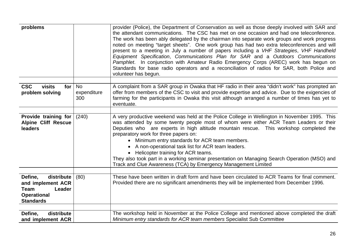| problems                                                                                                      |                                 | provider (Police), the Department of Conservation as well as those deeply involved with SAR and<br>the attendant communications. The CSC has met on one occasion and had one teleconference.<br>The work has been ably delegated by the chairman into separate work groups and work progress<br>noted on meeting "target sheets". One work group has had two extra teleconferences and will<br>present to a meeting in July a number of papers including a VHF Strategies, VHF Handheld<br>Equipment Specification, Communications Plan for SAR and a Outdoors Communications<br>Pamphlet. In conjunction with Amateur Radio Emergency Corps (AREC) work has begun on<br>Standards for base radio operators and a reconciliation of radios for SAR, both Police and<br>volunteer has begun. |
|---------------------------------------------------------------------------------------------------------------|---------------------------------|---------------------------------------------------------------------------------------------------------------------------------------------------------------------------------------------------------------------------------------------------------------------------------------------------------------------------------------------------------------------------------------------------------------------------------------------------------------------------------------------------------------------------------------------------------------------------------------------------------------------------------------------------------------------------------------------------------------------------------------------------------------------------------------------|
| <b>CSC</b><br>visits<br>for $ $<br>problem solving                                                            | <b>No</b><br>expenditure<br>300 | A complaint from a SAR group in Owaka that HF radio in their area "didn't work" has prompted an<br>offer from members of the CSC to visit and provide expertise and advice. Due to the exigencies of<br>farming for the participants in Owaka this visit although arranged a number of times has yet to<br>eventuate.                                                                                                                                                                                                                                                                                                                                                                                                                                                                       |
| Provide training for<br><b>Alpine Cliff Rescue</b><br>leaders                                                 | (240)                           | A very productive weekend was held at the Police College in Wellington in November 1995. This<br>was attended by some twenty people most of whom were either ACR Team Leaders or their<br>Deputies who are experts in high altitude mountain rescue. This workshop completed the<br>preparatory work for three papers on:<br>• Minimum entry standards for ACR team members.<br>• A non-operational task list for ACR team leaders.<br>• Helicopter training for ACR teams.<br>They also took part in a working seminar presentation on Managing Search Operation (MSO) and<br>Track and Clue Awareness (TCA) by Emergency Management Limited                                                                                                                                               |
| Define,<br>distribute<br>and implement ACR<br><b>Team</b><br>Leader<br><b>Operational</b><br><b>Standards</b> | (80)                            | These have been written in draft form and have been circulated to ACR Teams for final comment.<br>Provided there are no significant amendments they will be implemented from December 1996.                                                                                                                                                                                                                                                                                                                                                                                                                                                                                                                                                                                                 |
| Define,<br>distribute<br>and implement ACR                                                                    |                                 | The workshop held in November at the Police College and mentioned above completed the draft<br>Minimum entry standards for ACR team members Specialist Sub Committee                                                                                                                                                                                                                                                                                                                                                                                                                                                                                                                                                                                                                        |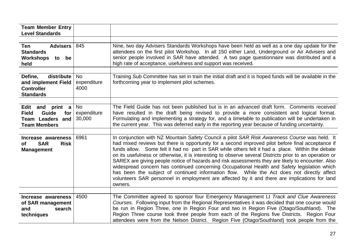| <b>Team Member Entry</b><br><b>Level Standards</b>                                                 |                                    |                                                                                                                                                                                                                                                                                                                                                                                                                                                                                                                                                                                                                                                                                                                                                                                                                                  |
|----------------------------------------------------------------------------------------------------|------------------------------------|----------------------------------------------------------------------------------------------------------------------------------------------------------------------------------------------------------------------------------------------------------------------------------------------------------------------------------------------------------------------------------------------------------------------------------------------------------------------------------------------------------------------------------------------------------------------------------------------------------------------------------------------------------------------------------------------------------------------------------------------------------------------------------------------------------------------------------|
| <b>Advisers</b><br>Ten<br><b>Standards</b><br>Workshops to be<br>held                              | 845                                | Nine, two day Advisers Standards Workshops have been held as well as a one day update for the<br>attendees on the first pilot Workshop. In all 150 either Land, Underground or Air Advisers and<br>senior people involved in SAR have attended. A two page questionnaire was distributed and a<br>high rate of acceptance, usefulness and support was received.                                                                                                                                                                                                                                                                                                                                                                                                                                                                  |
| Define,<br>distribute<br>and implement Field<br><b>Controller</b><br><b>Standards</b>              | No<br>expenditure<br>4000          | Training Sub Committee has set in train the initial draft and it is hoped funds will be available in the<br>forthcoming year to implement pilot schemes.                                                                                                                                                                                                                                                                                                                                                                                                                                                                                                                                                                                                                                                                         |
| Edit and print a<br><b>Field</b><br>Guide<br>for<br><b>Team Leaders and</b><br><b>Team Members</b> | <b>No</b><br>expenditure<br>30,000 | The Field Guide has not been published but is in an advanced draft form. Comments received<br>have resulted in the draft being revised to provide a more consistent and logical format.<br>Formulating and implementing a strategy for, and a timetable to publication will be undertaken in<br>the current year. This was deferred early in the reporting year because of funding uncertainty.                                                                                                                                                                                                                                                                                                                                                                                                                                  |
| Increase awareness<br><b>SAR</b><br><b>Risk</b><br><b>of</b><br><b>Management</b>                  | 6961                               | In conjunction with NZ Mountain Safety Council a pilot SAR Risk Awareness Course was held. It<br>had mixed reviews but there is opportunity for a second improved pilot before final acceptance if<br>funds allow. Some felt it had no part in SAR while others felt it had a place. Within the debate<br>on its usefulness or otherwise, it is interesting to observe several Districts prior to an operation or<br>SAREX are giving people notice of hazards and risk assessments they are likely to encounter. Also<br>widespread concern has continued concerning Occupational Health and Safety legislation which<br>has been the subject of continued information flow. While the Act does not directly affect<br>volunteers SAR personnel in employment are affected by it and there are implications for land<br>owners. |
| Increase awareness<br>of SAR management<br>and<br>search<br>techniques                             | 4500                               | The Committee agreed to sponsor four Emergency Management Lt Track and Clue Awareness<br>Courses. Following input from the Regional Representatives it was decided that one course would<br>be run in Region Three, one in Region Four and two in Region Five (Otago/Southland). The<br>Region Three course took three people from each of the Regions five Districts. Region Four<br>attendees were from the Nelson District. Region Five (Otago/Southland) took people from the                                                                                                                                                                                                                                                                                                                                                |